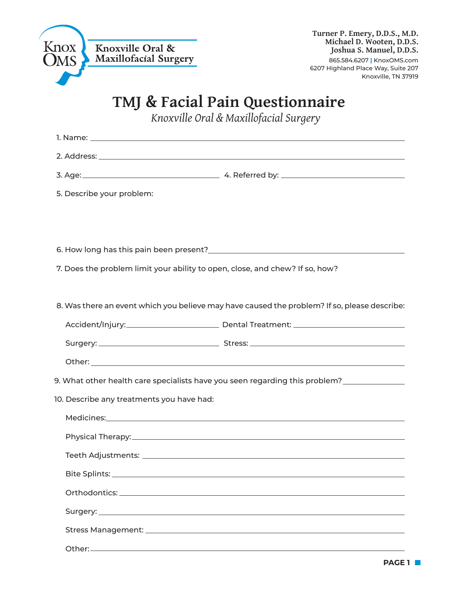

## **TMJ & Facial Pain Questionnaire**

*Knoxville Oral & Maxillofacial Surgery*

| 5. Describe your problem:                                                    |                                                                                              |
|------------------------------------------------------------------------------|----------------------------------------------------------------------------------------------|
|                                                                              |                                                                                              |
|                                                                              |                                                                                              |
|                                                                              |                                                                                              |
| 7. Does the problem limit your ability to open, close, and chew? If so, how? |                                                                                              |
|                                                                              |                                                                                              |
|                                                                              | 8. Was there an event which you believe may have caused the problem? If so, please describe: |
|                                                                              |                                                                                              |
|                                                                              |                                                                                              |
|                                                                              |                                                                                              |
|                                                                              | 9. What other health care specialists have you seen regarding this problem? ___________      |
| 10. Describe any treatments you have had:                                    |                                                                                              |
|                                                                              |                                                                                              |
|                                                                              |                                                                                              |
|                                                                              |                                                                                              |
|                                                                              |                                                                                              |
|                                                                              |                                                                                              |
|                                                                              |                                                                                              |
|                                                                              |                                                                                              |
|                                                                              |                                                                                              |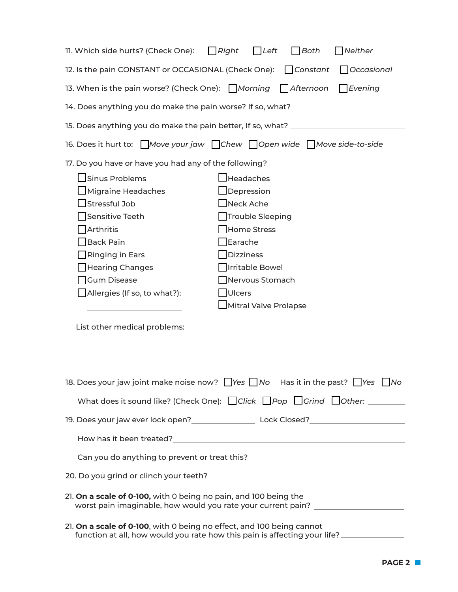| 11. Which side hurts? (Check One):<br>$\Box$ Right                                                                                                                                                                                                  | $\Box$ Left                                                                                                                                                                                                                          | $\bigcap$ Both     | Neither    |  |  |  |
|-----------------------------------------------------------------------------------------------------------------------------------------------------------------------------------------------------------------------------------------------------|--------------------------------------------------------------------------------------------------------------------------------------------------------------------------------------------------------------------------------------|--------------------|------------|--|--|--|
| 12. Is the pain CONSTANT or OCCASIONAL (Check One):                                                                                                                                                                                                 |                                                                                                                                                                                                                                      | $\bigcap$ Constant | Occasional |  |  |  |
| 13. When is the pain worse? (Check One): Morning<br>$\Box$ Afternoon<br>$\Box$ Evening                                                                                                                                                              |                                                                                                                                                                                                                                      |                    |            |  |  |  |
| 14. Does anything you do make the pain worse? If so, what?______________________                                                                                                                                                                    |                                                                                                                                                                                                                                      |                    |            |  |  |  |
| 15. Does anything you do make the pain better, If so, what? ____________________                                                                                                                                                                    |                                                                                                                                                                                                                                      |                    |            |  |  |  |
| 16. Does it hurt to: $\Box$ Move your jaw $\Box$ Chew $\Box$ Open wide $\Box$ Move side-to-side                                                                                                                                                     |                                                                                                                                                                                                                                      |                    |            |  |  |  |
| 17. Do you have or have you had any of the following?                                                                                                                                                                                               |                                                                                                                                                                                                                                      |                    |            |  |  |  |
| $\Box$ Sinus Problems<br>Migraine Headaches<br>Stressful Job<br>Sensitive Teeth<br>Arthritis<br><b>Back Pain</b><br>Ringing in Ears<br>Hearing Changes<br><b>Gum Disease</b><br>$\Box$ Allergies (If so, to what?):<br>List other medical problems: | $\mathsf{\mathsf{\mathsf{I}Headaches}}$<br>$\Box$ Depression<br>$\blacksquare$ Neck Ache<br>Trouble Sleeping<br>Home Stress<br>Earache<br>Dizziness<br>Irritable Bowel<br>Nervous Stomach<br>$\vert$ Ulcers<br>Mitral Valve Prolapse |                    |            |  |  |  |
| 18. Does your jaw joint make noise now? $\Box$ Yes $\Box$ No Has it in the past? $\Box$ Yes $\Box$ No                                                                                                                                               |                                                                                                                                                                                                                                      |                    |            |  |  |  |
|                                                                                                                                                                                                                                                     |                                                                                                                                                                                                                                      |                    |            |  |  |  |
| 19. Does your jaw ever lock open?__________________________Lock Closed?_____________________________                                                                                                                                                |                                                                                                                                                                                                                                      |                    |            |  |  |  |
|                                                                                                                                                                                                                                                     |                                                                                                                                                                                                                                      |                    |            |  |  |  |
| Can you do anything to prevent or treat this? __________________________________                                                                                                                                                                    |                                                                                                                                                                                                                                      |                    |            |  |  |  |
|                                                                                                                                                                                                                                                     |                                                                                                                                                                                                                                      |                    |            |  |  |  |
| 21. On a scale of 0-100, with 0 being no pain, and 100 being the<br>worst pain imaginable, how would you rate your current pain? ___________________                                                                                                |                                                                                                                                                                                                                                      |                    |            |  |  |  |
| 21. On a scale of 0-100, with 0 being no effect, and 100 being cannot                                                                                                                                                                               |                                                                                                                                                                                                                                      |                    |            |  |  |  |